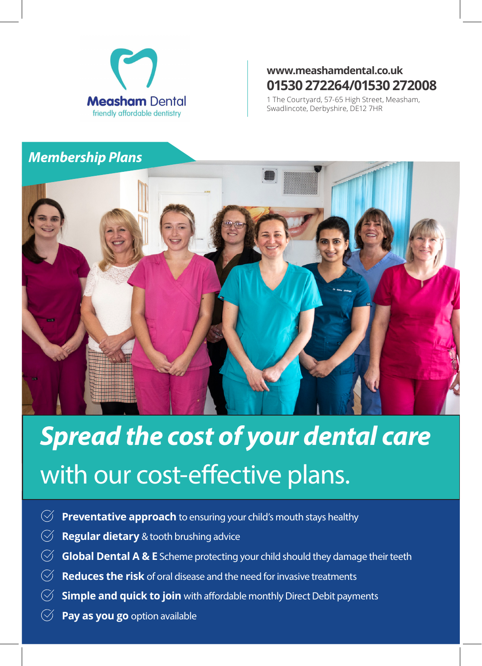

### **www.meashamdental.co.uk 01530 272264/01530 272008**

1 The Courtyard, 57-65 High Street, Measham, Swadlincote, Derbyshire, DE12 7HR

#### *Membership Plans*



# *Spread the cost of your dental care*  with our cost-effective plans.

- **Preventative approach** to ensuring your child's mouth stays healthy  $(\checkmark)$
- **Regular dietary** & tooth brushing advice  $(\sqrt{2})$
- $\oslash$ **Global Dental A & E** Scheme protecting your child should they damage their teeth
- $(\checkmark)$ **Reduces the risk** of oral disease and the need for invasive treatments
- **Simple and quick to join** with affordable monthly Direct Debit payments
- **Pay as you go** option available